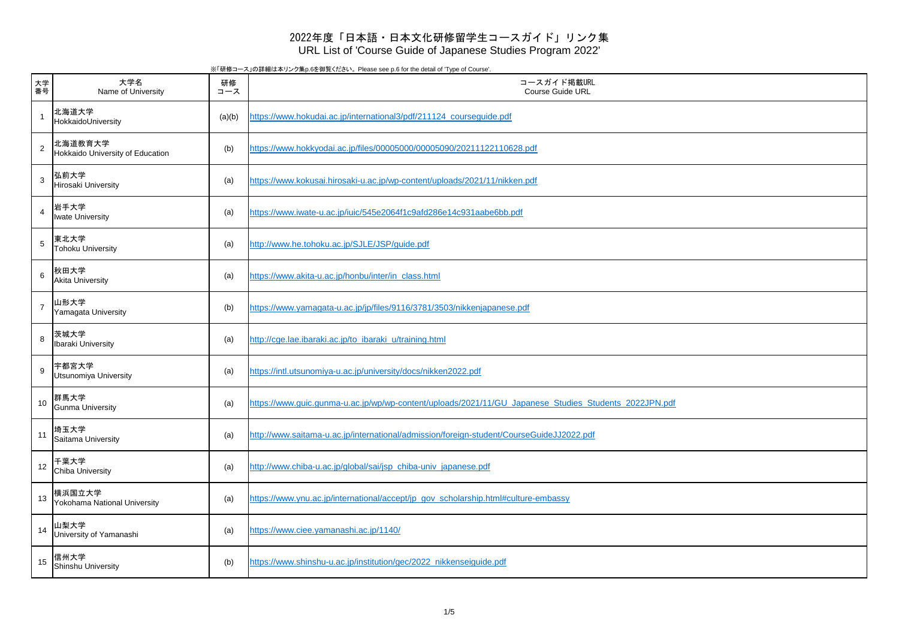※「研修コース」の詳細は本リンク集p.6を御覧ください。 Please see p.6 for the detail of 'Type of Course'.

| 大学<br>番号                | 大学名<br>Name of University                   | 研修<br>コース | コースガイド掲載URL<br><b>Course Guide URL</b>                                                                |
|-------------------------|---------------------------------------------|-----------|-------------------------------------------------------------------------------------------------------|
| $\overline{\mathbf{1}}$ | 北海道大学<br>HokkaidoUniversity                 | (a)(b)    | https://www.hokudai.ac.jp/international3/pdf/211124_courseguide.pdf                                   |
| $\overline{2}$          | 北海道教育大学<br>Hokkaido University of Education | (b)       | https://www.hokkyodai.ac.jp/files/00005000/00005090/20211122110628.pdf                                |
| $\overline{3}$          | 弘前大学<br>Hirosaki University                 | (a)       | https://www.kokusai.hirosaki-u.ac.jp/wp-content/uploads/2021/11/nikken.pdf                            |
| $\overline{4}$          | 岩手大学<br><b>Iwate University</b>             | (a)       | https://www.iwate-u.ac.jp/iuic/545e2064f1c9afd286e14c931aabe6bb.pdf                                   |
| 5                       | 東北大学<br><b>Tohoku University</b>            | (a)       | http://www.he.tohoku.ac.jp/SJLE/JSP/guide.pdf                                                         |
| $6\phantom{1}6$         | 秋田大学<br><b>Akita University</b>             | (a)       | https://www.akita-u.ac.jp/honbu/inter/in_class.html                                                   |
| $\overline{7}$          | 山形大学<br>Yamagata University                 | (b)       | https://www.yamagata-u.ac.jp/jp/files/9116/3781/3503/nikkenjapanese.pdf                               |
| 8                       | 茨城大学<br>Ibaraki University                  | (a)       | http://cge.lae.ibaraki.ac.jp/to_ibaraki_u/training.html                                               |
| 9                       | 宇都宮大学<br><b>Utsunomiya University</b>       | (a)       | https://intl.utsunomiya-u.ac.jp/university/docs/nikken2022.pdf                                        |
| 10                      | 群馬大学<br><b>Gunma University</b>             | (a)       | https://www.quic.qunma-u.ac.jp/wp/wp-content/uploads/2021/11/GU Japanese Studies Students 2022JPN.pdf |
| 11                      | 埼玉大学<br>Saitama University                  | (a)       | http://www.saitama-u.ac.jp/international/admission/foreign-student/CourseGuideJJ2022.pdf              |
| 12                      | 千葉大学<br><b>Chiba University</b>             | (a)       | http://www.chiba-u.ac.jp/global/sai/jsp_chiba-univ_japanese.pdf                                       |
| 13                      | 横浜国立大学<br>Yokohama National University      | (a)       | https://www.ynu.ac.jp/international/accept/jp_gov_scholarship.html#culture-embassy                    |
| 14                      | 山梨大学<br>University of Yamanashi             | (a)       | https://www.ciee.yamanashi.ac.jp/1140/                                                                |
| 15                      | 信州大学<br><b>Shinshu University</b>           | (b)       | https://www.shinshu-u.ac.jp/institution/gec/2022_nikkenseiguide.pdf                                   |

## 2022年度「日本語・日本文化研修留学生コースガイド」リンク集 URL List of 'Course Guide of Japanese Studies Program 2022'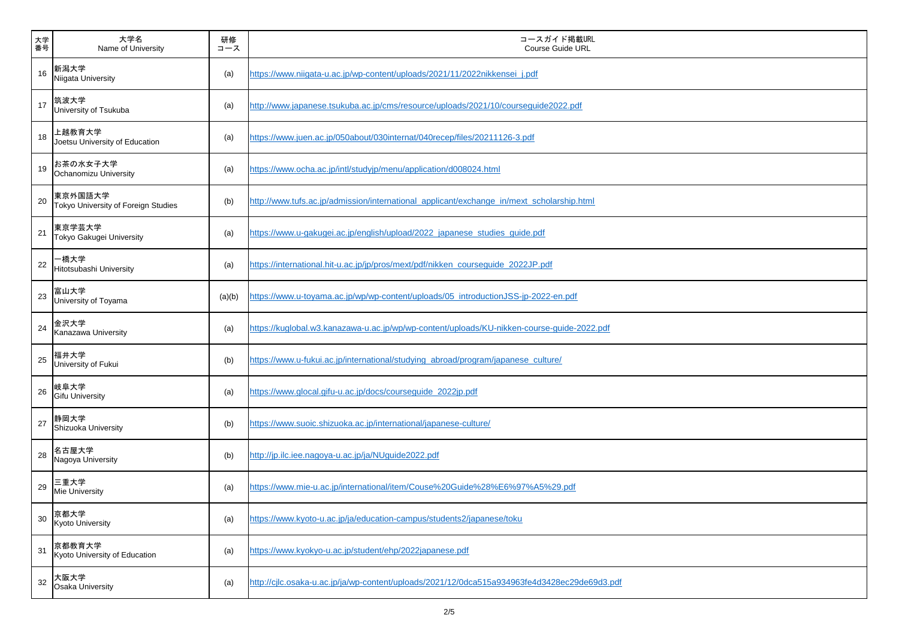| 大学<br>番号 | 大学名<br>Name of University                      | 研修<br>コース | コースガイド掲載URL<br><b>Course Guide URL</b>                                                       |
|----------|------------------------------------------------|-----------|----------------------------------------------------------------------------------------------|
| 16       | 新潟大学<br>Niigata University                     | (a)       | https://www.niigata-u.ac.jp/wp-content/uploads/2021/11/2022nikkensei j.pdf                   |
| 17       | 筑波大学<br>University of Tsukuba                  | (a)       | http://www.japanese.tsukuba.ac.jp/cms/resource/uploads/2021/10/courseguide2022.pdf           |
| 18       | 上越教育大学<br>Joetsu University of Education       | (a)       | https://www.juen.ac.jp/050about/030internat/040recep/files/20211126-3.pdf                    |
| 19       | お茶の水女子大学<br>Ochanomizu University              | (a)       | https://www.ocha.ac.jp/intl/studyjp/menu/application/d008024.html                            |
| 20       | 東京外国語大学<br>Tokyo University of Foreign Studies | (b)       | http://www.tufs.ac.jp/admission/international applicant/exchange in/mext scholarship.html    |
| 21       | 東京学芸大学<br>Tokyo Gakugei University             | (a)       | https://www.u-gakugei.ac.jp/english/upload/2022_japanese_studies_guide.pdf                   |
| 22       | -橋大学<br>Hitotsubashi University                | (a)       | https://international.hit-u.ac.jp/jp/pros/mext/pdf/nikken_courseguide_2022JP.pdf             |
| 23       | 富山大学<br>University of Toyama                   | (a)(b)    | https://www.u-toyama.ac.jp/wp/wp-content/uploads/05_introductionJSS-jp-2022-en.pdf           |
| 24       | 金沢大学<br>Kanazawa University                    | (a)       | https://kuglobal.w3.kanazawa-u.ac.jp/wp/wp-content/uploads/KU-nikken-course-guide-2022.pdf   |
| 25       | 福井大学<br>University of Fukui                    | (b)       | https://www.u-fukui.ac.jp/international/studying_abroad/program/japanese_culture/            |
| 26       | 岐阜大学<br><b>Gifu University</b>                 | (a)       | https://www.glocal.gifu-u.ac.jp/docs/courseguide_2022jp.pdf                                  |
| 27       | 静岡大学<br>Shizuoka University                    | (b)       | https://www.suoic.shizuoka.ac.jp/international/japanese-culture/                             |
| 28       | 名古屋大学<br>Nagoya University                     | (b)       | http://jp.ilc.iee.nagoya-u.ac.jp/ja/NUguide2022.pdf                                          |
| 29       | 三重大学<br>Mie University                         | (a)       | https://www.mie-u.ac.jp/international/item/Couse%20Guide%28%E6%97%A5%29.pdf                  |
| 30       | 京都大学<br>Kyoto University                       | (a)       | https://www.kyoto-u.ac.jp/ja/education-campus/students2/japanese/toku                        |
| 31       | 京都教育大学<br>Kyoto University of Education        | (a)       | https://www.kyokyo-u.ac.jp/student/ehp/2022japanese.pdf                                      |
| 32       | 大阪大学<br><b>Osaka University</b>                | (a)       | http://cjlc.osaka-u.ac.jp/ja/wp-content/uploads/2021/12/0dca515a934963fe4d3428ec29de69d3.pdf |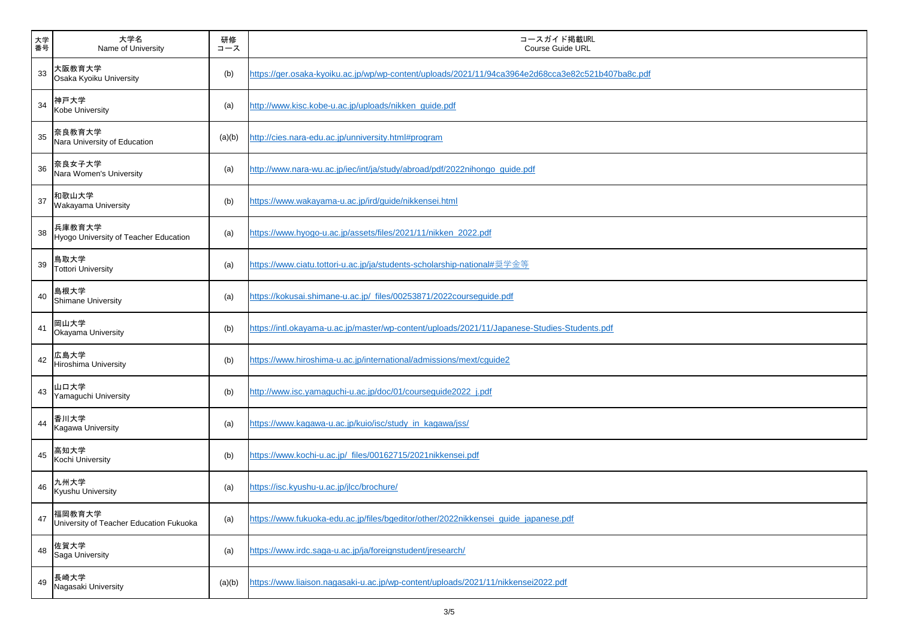| 大学<br>番号 | 大学名<br>Name of University                         | 研修<br>コース | コースガイド掲載URL<br><b>Course Guide URL</b>                                                            |
|----------|---------------------------------------------------|-----------|---------------------------------------------------------------------------------------------------|
| 33       | 大阪教育大学<br>Osaka Kyoiku University                 | (b)       | https://ger.osaka-kyoiku.ac.jp/wp/wp-content/uploads/2021/11/94ca3964e2d68cca3e82c521b407ba8c.pdf |
| 34       | 神戸大学<br>Kobe University                           | (a)       | http://www.kisc.kobe-u.ac.jp/uploads/nikken_guide.pdf                                             |
| 35       | 奈良教育大学<br>Nara University of Education            | (a)(b)    | http://cies.nara-edu.ac.jp/unniversity.html#program                                               |
| 36       | 奈良女子大学<br>Nara Women's University                 | (a)       | http://www.nara-wu.ac.jp/iec/int/ja/study/abroad/pdf/2022nihongo_guide.pdf                        |
| 37       | 和歌山大学<br>Wakayama University                      | (b)       | https://www.wakayama-u.ac.jp/ird/guide/nikkensei.html                                             |
| 38       | 兵庫教育大学<br>Hyogo University of Teacher Education   | (a)       | https://www.hyogo-u.ac.jp/assets/files/2021/11/nikken_2022.pdf                                    |
| 39       | 鳥取大学<br><b>Tottori University</b>                 | (a)       | https://www.ciatu.tottori-u.ac.jp/ja/students-scholarship-national#奨学金等                           |
| 40       | 島根大学<br><b>Shimane University</b>                 | (a)       | https://kokusai.shimane-u.ac.jp/_files/00253871/2022courseguide.pdf                               |
| 41       | 岡山大学<br>Okayama University                        | (b)       | https://intl.okayama-u.ac.jp/master/wp-content/uploads/2021/11/Japanese-Studies-Students.pdf      |
| 42       | 広島大学<br><b>Hiroshima University</b>               | (b)       | https://www.hiroshima-u.ac.jp/international/admissions/mext/cguide2                               |
| 43       | 山口大学<br>Yamaguchi University                      | (b)       | http://www.isc.yamaguchi-u.ac.jp/doc/01/courseguide2022_j.pdf                                     |
| 44       | 香川大学<br>Kagawa University                         | (a)       | https://www.kagawa-u.ac.jp/kuio/isc/study_in_kagawa/jss/                                          |
| 45       | 高知大学<br>Kochi University                          | (b)       | https://www.kochi-u.ac.jp/ files/00162715/2021nikkensei.pdf                                       |
| 46       | 九州大学<br>Kyushu University                         | (a)       | https://isc.kyushu-u.ac.jp/jlcc/brochure/                                                         |
| 47       | 福岡教育大学<br>University of Teacher Education Fukuoka | (a)       | https://www.fukuoka-edu.ac.jp/files/bgeditor/other/2022nikkensei_guide_japanese.pdf               |
| 48       | 佐賀大学<br>Saga University                           | (a)       | https://www.irdc.saga-u.ac.jp/ja/foreignstudent/jresearch/                                        |
| 49       | 長崎大学<br>Nagasaki University                       | (a)(b)    | https://www.liaison.nagasaki-u.ac.jp/wp-content/uploads/2021/11/nikkensei2022.pdf                 |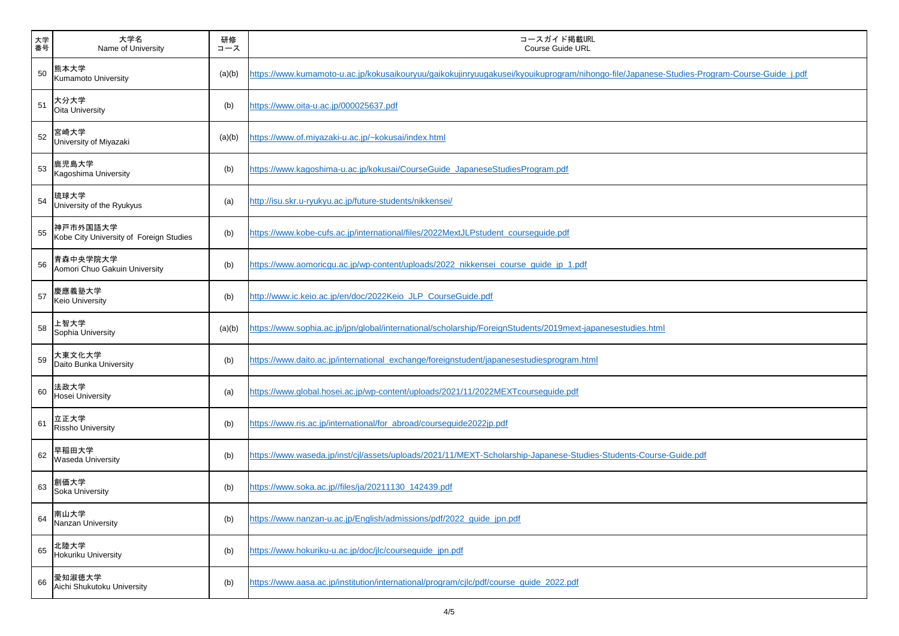| 大学<br>番号 | 大学名<br>Name of University                           | 研修<br>コース | コースガイド掲載URL<br><b>Course Guide URL</b>                                                                                                    |
|----------|-----------------------------------------------------|-----------|-------------------------------------------------------------------------------------------------------------------------------------------|
| 50       | 熊本大学<br><b>Kumamoto University</b>                  | (a)(b)    | https://www.kumamoto-u.ac.jp/kokusaikouryuu/gaikokujinryuugakusei/kyouikuprogram/nihongo-file/Japanese-Studies-Program-Course-Guide j.pdf |
| 51       | 大分大学<br><b>Oita University</b>                      | (b)       | https://www.oita-u.ac.jp/000025637.pdf                                                                                                    |
| 52       | 宮崎大学<br>University of Miyazaki                      | (a)(b)    | https://www.of.miyazaki-u.ac.jp/~kokusai/index.html                                                                                       |
| 53       | 鹿児島大学<br>Kagoshima University                       | (b)       | https://www.kagoshima-u.ac.jp/kokusai/CourseGuide_JapaneseStudiesProgram.pdf                                                              |
| 54       | 琉球大学<br>University of the Ryukyus                   | (a)       | http://isu.skr.u-ryukyu.ac.jp/future-students/nikkensei/                                                                                  |
| 55       | 神戸市外国語大学<br>Kobe City University of Foreign Studies | (b)       | https://www.kobe-cufs.ac.jp/international/files/2022MextJLPstudent_courseguide.pdf                                                        |
| 56       | 青森中央学院大学<br>Aomori Chuo Gakuin University           | (b)       | https://www.aomoricgu.ac.jp/wp-content/uploads/2022_nikkensei_course_guide_jp_1.pdf                                                       |
| 57       | 慶應義塾大学<br><b>Keio University</b>                    | (b)       | http://www.ic.keio.ac.jp/en/doc/2022Keio_JLP_CourseGuide.pdf                                                                              |
| 58       | 上智大学<br>Sophia University                           | (a)(b)    | https://www.sophia.ac.jp/jpn/global/international/scholarship/ForeignStudents/2019mext-japanesestudies.html                               |
| 59       | 大東文化大学<br>Daito Bunka University                    | (b)       | https://www.daito.ac.jp/international_exchange/foreignstudent/japanesestudiesprogram.html                                                 |
| 60       | 法政大学<br>Hosei University                            | (a)       | https://www.global.hosei.ac.jp/wp-content/uploads/2021/11/2022MEXTcourseguide.pdf                                                         |
| 61       | 立正大学<br><b>Rissho University</b>                    | (b)       | https://www.ris.ac.jp/international/for_abroad/courseguide2022jp.pdf                                                                      |
| 62       | 早稲田大学<br><b>Waseda University</b>                   | (b)       | https://www.waseda.jp/inst/cjl/assets/uploads/2021/11/MEXT-Scholarship-Japanese-Studies-Students-Course-Guide.pdf                         |
| 63       | 創価大学<br>Soka University                             | (b)       | https://www.soka.ac.jp//files/ja/20211130_142439.pdf                                                                                      |
| 64       | 南山大学<br>Nanzan University                           | (b)       | https://www.nanzan-u.ac.jp/English/admissions/pdf/2022_guide_jpn.pdf                                                                      |
| 65       | 北陸大学<br><b>Hokuriku University</b>                  | (b)       | https://www.hokuriku-u.ac.jp/doc/jlc/courseguide_jpn.pdf                                                                                  |
| 66       | 愛知淑徳大学<br>Aichi Shukutoku University                | (b)       | https://www.aasa.ac.jp/institution/international/program/cjlc/pdf/course_quide_2022.pdf                                                   |

| rogram-Course-Guide j.pdf |  |  |  |  |
|---------------------------|--|--|--|--|
|                           |  |  |  |  |
|                           |  |  |  |  |
|                           |  |  |  |  |
|                           |  |  |  |  |
|                           |  |  |  |  |
|                           |  |  |  |  |
|                           |  |  |  |  |
|                           |  |  |  |  |
|                           |  |  |  |  |
|                           |  |  |  |  |
|                           |  |  |  |  |
| lf                        |  |  |  |  |
|                           |  |  |  |  |
|                           |  |  |  |  |
|                           |  |  |  |  |
|                           |  |  |  |  |
|                           |  |  |  |  |

┑